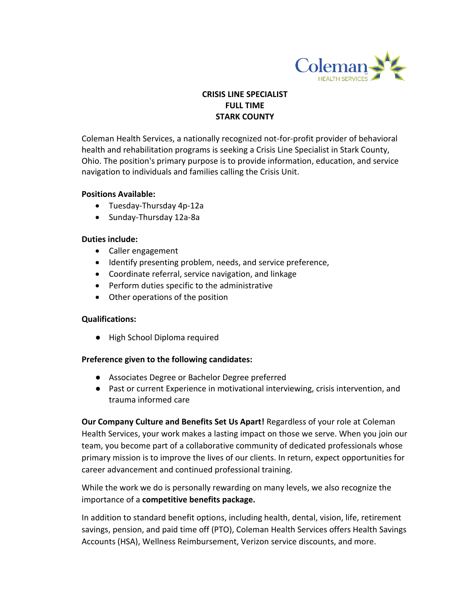

# **CRISIS LINE SPECIALIST FULL TIME STARK COUNTY**

Coleman Health Services, a nationally recognized not-for-profit provider of behavioral health and rehabilitation programs is seeking a Crisis Line Specialist in Stark County, Ohio. The position's primary purpose is to provide information, education, and service navigation to individuals and families calling the Crisis Unit.

#### **Positions Available:**

- Tuesday-Thursday 4p-12a
- Sunday-Thursday 12a-8a

### **Duties include:**

- Caller engagement
- Identify presenting problem, needs, and service preference,
- Coordinate referral, service navigation, and linkage
- Perform duties specific to the administrative
- Other operations of the position

## **Qualifications:**

● High School Diploma required

## **Preference given to the following candidates:**

- Associates Degree or Bachelor Degree preferred
- Past or current Experience in motivational interviewing, crisis intervention, and trauma informed care

**Our Company Culture and Benefits Set Us Apart!** Regardless of your role at Coleman Health Services, your work makes a lasting impact on those we serve. When you join our team, you become part of a collaborative community of dedicated professionals whose primary mission is to improve the lives of our clients. In return, expect opportunities for career advancement and continued professional training.

While the work we do is personally rewarding on many levels, we also recognize the importance of a **competitive benefits package.** 

In addition to standard benefit options, including health, dental, vision, life, retirement savings, pension, and paid time off (PTO), Coleman Health Services offers Health Savings Accounts (HSA), Wellness Reimbursement, Verizon service discounts, and more.